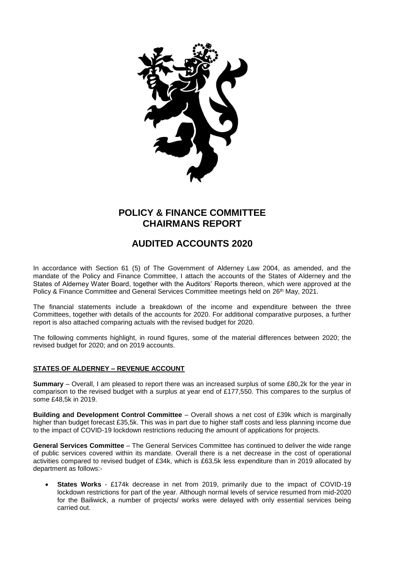

## **POLICY & FINANCE COMMITTEE CHAIRMANS REPORT**

# **AUDITED ACCOUNTS 2020**

In accordance with Section 61 (5) of The Government of Alderney Law 2004, as amended, and the mandate of the Policy and Finance Committee, I attach the accounts of the States of Alderney and the States of Alderney Water Board, together with the Auditors' Reports thereon, which were approved at the Policy & Finance Committee and General Services Committee meetings held on 26<sup>th</sup> May, 2021.

The financial statements include a breakdown of the income and expenditure between the three Committees, together with details of the accounts for 2020. For additional comparative purposes, a further report is also attached comparing actuals with the revised budget for 2020.

The following comments highlight, in round figures, some of the material differences between 2020; the revised budget for 2020; and on 2019 accounts.

## **STATES OF ALDERNEY – REVENUE ACCOUNT**

**Summary** – Overall, I am pleased to report there was an increased surplus of some £80,2k for the year in comparison to the revised budget with a surplus at year end of £177,550. This compares to the surplus of some £48,5k in 2019.

**Building and Development Control Committee** – Overall shows a net cost of £39k which is marginally higher than budget forecast £35,5k. This was in part due to higher staff costs and less planning income due to the impact of COVID-19 lockdown restrictions reducing the amount of applications for projects.

**General Services Committee** – The General Services Committee has continued to deliver the wide range of public services covered within its mandate. Overall there is a net decrease in the cost of operational activities compared to revised budget of £34k, which is £63,5k less expenditure than in 2019 allocated by department as follows:-

 **States Works** - £174k decrease in net from 2019, primarily due to the impact of COVID-19 lockdown restrictions for part of the year. Although normal levels of service resumed from mid-2020 for the Bailiwick, a number of projects/ works were delayed with only essential services being carried out.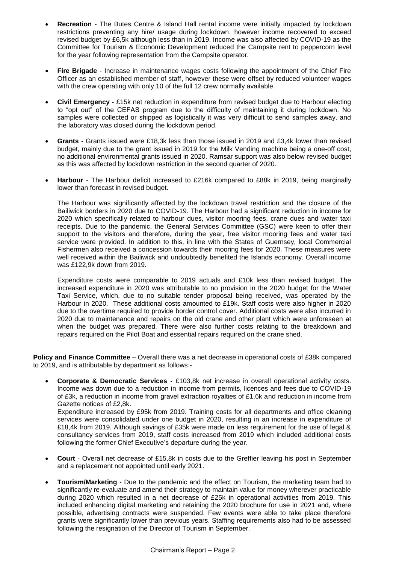- **Recreation** The Butes Centre & Island Hall rental income were initially impacted by lockdown restrictions preventing any hire/ usage during lockdown, however income recovered to exceed revised budget by £6,5k although less than in 2019. Income was also affected by COVID-19 as the Committee for Tourism & Economic Development reduced the Campsite rent to peppercorn level for the year following representation from the Campsite operator.
- **Fire Brigade**  Increase in maintenance wages costs following the appointment of the Chief Fire Officer as an established member of staff, however these were offset by reduced volunteer wages with the crew operating with only 10 of the full 12 crew normally available.
- **Civil Emergency**  £15k net reduction in expenditure from revised budget due to Harbour electing to "opt out" of the CEFAS program due to the difficulty of maintaining it during lockdown. No samples were collected or shipped as logistically it was very difficult to send samples away, and the laboratory was closed during the lockdown period.
- **Grants** Grants issued were £18,3k less than those issued in 2019 and £3,4k lower than revised budget, mainly due to the grant issued in 2019 for the Milk Vending machine being a one-off cost, no additional environmental grants issued in 2020. Ramsar support was also below revised budget as this was affected by lockdown restriction in the second quarter of 2020.
- **Harbour** The Harbour deficit increased to £216k compared to £88k in 2019, being marginally lower than forecast in revised budget.

The Harbour was significantly affected by the lockdown travel restriction and the closure of the Bailiwick borders in 2020 due to COVID-19. The Harbour had a significant reduction in income for 2020 which specifically related to harbour dues, visitor mooring fees, crane dues and water taxi receipts. Due to the pandemic, the General Services Committee (GSC) were keen to offer their support to the visitors and therefore, during the year, free visitor mooring fees and water taxi service were provided. In addition to this, in line with the States of Guernsey, local Commercial Fishermen also received a concession towards their mooring fees for 2020. These measures were well received within the Bailiwick and undoubtedly benefited the Islands economy. Overall income was £122,9k down from 2019.

Expenditure costs were comparable to 2019 actuals and £10k less than revised budget. The increased expenditure in 2020 was attributable to no provision in the 2020 budget for the Water Taxi Service, which, due to no suitable tender proposal being received, was operated by the Harbour in 2020. These additional costs amounted to £19k. Staff costs were also higher in 2020 due to the overtime required to provide border control cover. Additional costs were also incurred in 2020 due to maintenance and repairs on the old crane and other plant which were unforeseen at when the budget was prepared. There were also further costs relating to the breakdown and repairs required on the Pilot Boat and essential repairs required on the crane shed.

**Policy and Finance Committee** – Overall there was a net decrease in operational costs of £38k compared to 2019, and is attributable by department as follows:-

 **Corporate & Democratic Services** - £103,8k net increase in overall operational activity costs. Income was down due to a reduction in income from permits, licences and fees due to COVID-19 of £3k, a reduction in income from gravel extraction royalties of £1,6k and reduction in income from Gazette notices of £2,8k.

Expenditure increased by £95k from 2019. Training costs for all departments and office cleaning services were consolidated under one budget in 2020, resulting in an increase in expenditure of £18,4k from 2019. Although savings of £35k were made on less requirement for the use of legal & consultancy services from 2019, staff costs increased from 2019 which included additional costs following the former Chief Executive's departure during the year.

- **Court** Overall net decrease of £15,8k in costs due to the Greffier leaving his post in September and a replacement not appointed until early 2021.
- **Tourism/Marketing**  Due to the pandemic and the effect on Tourism, the marketing team had to significantly re-evaluate and amend their strategy to maintain value for money wherever practicable during 2020 which resulted in a net decrease of £25k in operational activities from 2019. This included enhancing digital marketing and retaining the 2020 brochure for use in 2021 and, where possible, advertising contracts were suspended. Few events were able to take place therefore grants were significantly lower than previous years. Staffing requirements also had to be assessed following the resignation of the Director of Tourism in September.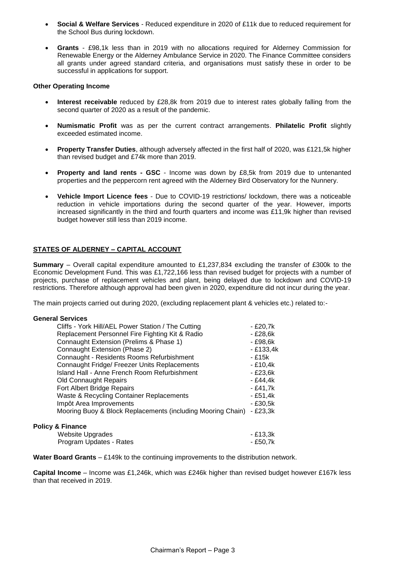- **Social & Welfare Services**  Reduced expenditure in 2020 of £11k due to reduced requirement for the School Bus during lockdown.
- **Grants** £98,1k less than in 2019 with no allocations required for Alderney Commission for Renewable Energy or the Alderney Ambulance Service in 2020. The Finance Committee considers all grants under agreed standard criteria, and organisations must satisfy these in order to be successful in applications for support.

#### **Other Operating Income**

- **Interest receivable** reduced by £28,8k from 2019 due to interest rates globally falling from the second quarter of 2020 as a result of the pandemic.
- **Numismatic Profit** was as per the current contract arrangements. **Philatelic Profit** slightly exceeded estimated income.
- **Property Transfer Duties**, although adversely affected in the first half of 2020, was £121,5k higher than revised budget and £74k more than 2019.
- **Property and land rents - GSC** Income was down by £8,5k from 2019 due to untenanted properties and the peppercorn rent agreed with the Alderney Bird Observatory for the Nunnery.
- **Vehicle Import Licence fees** Due to COVID-19 restrictions/ lockdown, there was a noticeable reduction in vehicle importations during the second quarter of the year. However, imports increased significantly in the third and fourth quarters and income was £11,9k higher than revised budget however still less than 2019 income.

## **STATES OF ALDERNEY – CAPITAL ACCOUNT**

**Summary** – Overall capital expenditure amounted to £1,237,834 excluding the transfer of £300k to the Economic Development Fund. This was £1,722,166 less than revised budget for projects with a number of projects, purchase of replacement vehicles and plant, being delayed due to lockdown and COVID-19 restrictions. Therefore although approval had been given in 2020, expenditure did not incur during the year.

The main projects carried out during 2020, (excluding replacement plant & vehicles etc.) related to:-

#### **General Services**

| Cliffs - York Hill/AEL Power Station / The Cutting          | - £20,7k  |
|-------------------------------------------------------------|-----------|
|                                                             |           |
| Replacement Personnel Fire Fighting Kit & Radio             | - £28,6k  |
| Connaught Extension (Prelims & Phase 1)                     | - £98,6k  |
| Connaught Extension (Phase 2)                               | - £133,4k |
| Connaught - Residents Rooms Refurbishment                   | - £15k    |
| Connaught Fridge/ Freezer Units Replacements                | - £10,4k  |
| Island Hall - Anne French Room Refurbishment                | - £23,6k  |
| <b>Old Connaught Repairs</b>                                | - £44,4k  |
| Fort Albert Bridge Repairs                                  | - £41,7k  |
| Waste & Recycling Container Replacements                    | - £51,4k  |
| Impôt Area Improvements                                     | - £30,5k  |
| Mooring Buoy & Block Replacements (including Mooring Chain) | - £23,3k  |
|                                                             |           |
| <b>Policy &amp; Finance</b>                                 |           |

| Website Upgrades        | - £13,3k |
|-------------------------|----------|
| Program Updates - Rates | - £50,7k |

**Water Board Grants** – £149k to the continuing improvements to the distribution network.

**Capital Income** – Income was £1,246k, which was £246k higher than revised budget however £167k less than that received in 2019.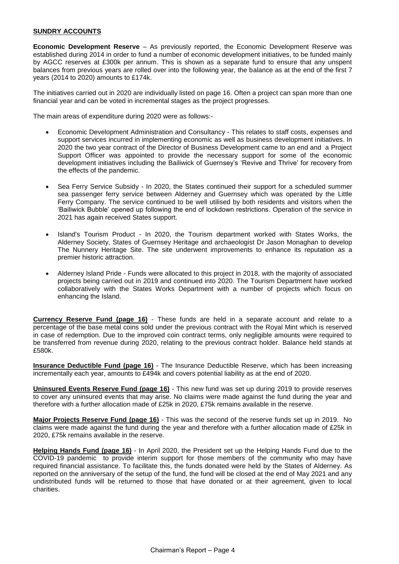#### **SUNDRY ACCOUNTS**

**Economic Development Reserve** – As previously reported, the Economic Development Reserve was established during 2014 in order to fund a number of economic development initiatives, to be funded mainly by AGCC reserves at £300k per annum. This is shown as a separate fund to ensure that any unspent balances from previous years are rolled over into the following year, the balance as at the end of the first 7 years (2014 to 2020) amounts to £174k.

The initiatives carried out in 2020 are individually listed on page 16. Often a project can span more than one financial year and can be voted in incremental stages as the project progresses.

The main areas of expenditure during 2020 were as follows:-

- Economic Development Administration and Consultancy This relates to staff costs, expenses and support services incurred in implementing economic as well as business development initiatives. In 2020 the two year contract of the Director of Business Development came to an end and a Project Support Officer was appointed to provide the necessary support for some of the economic development initiatives including the Bailiwick of Guernsey's 'Revive and Thrive' for recovery from the effects of the pandemic.
- Sea Ferry Service Subsidy In 2020, the States continued their support for a scheduled summer sea passenger ferry service between Alderney and Guernsey which was operated by the Little Ferry Company. The service continued to be well utilised by both residents and visitors when the 'Bailiwick Bubble' opened up following the end of lockdown restrictions. Operation of the service in 2021 has again received States support.
- Island's Tourism Product In 2020, the Tourism department worked with States Works, the Alderney Society, States of Guernsey Heritage and archaeologist Dr Jason Monaghan to develop The Nunnery Heritage Site. The site underwent improvements to enhance its reputation as a premier historic attraction.
- Alderney Island Pride Funds were allocated to this project in 2018, with the majority of associated projects being carried out in 2019 and continued into 2020. The Tourism Department have worked collaboratively with the States Works Department with a number of projects which focus on enhancing the Island.

**Currency Reserve Fund (page 16)** - These funds are held in a separate account and relate to a percentage of the base metal coins sold under the previous contract with the Royal Mint which is reserved in case of redemption. Due to the improved coin contract terms, only negligible amounts were required to be transferred from revenue during 2020, relating to the previous contract holder. Balance held stands at £580k.

**Insurance Deductible Fund (page 16)** - The Insurance Deductible Reserve, which has been increasing incrementally each year, amounts to £494k and covers potential liability as at the end of 2020.

**Uninsured Events Reserve Fund (page 16)** - This new fund was set up during 2019 to provide reserves to cover any uninsured events that may arise. No claims were made against the fund during the year and therefore with a further allocation made of £25k in 2020, £75k remains available in the reserve.

**Major Projects Reserve Fund (page 16)** - This was the second of the reserve funds set up in 2019. No claims were made against the fund during the year and therefore with a further allocation made of £25k in 2020, £75k remains available in the reserve.

**Helping Hands Fund (page 16)** - In April 2020, the President set up the Helping Hands Fund due to the COVID-19 pandemic to provide interim support for those members of the community who may have required financial assistance. To facilitate this, the funds donated were held by the States of Alderney. As reported on the anniversary of the setup of the fund, the fund will be closed at the end of May 2021 and any undistributed funds will be returned to those that have donated or at their agreement, given to local charities.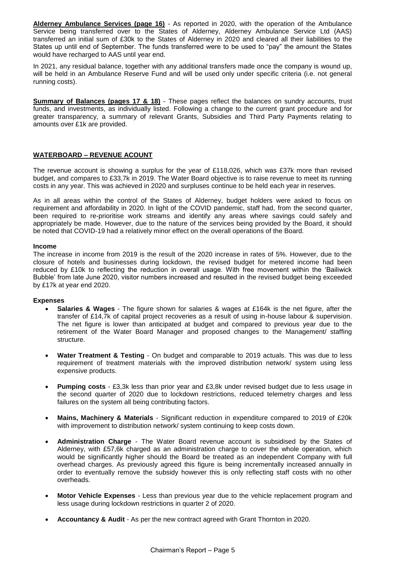**Alderney Ambulance Services (page 16)** - As reported in 2020, with the operation of the Ambulance Service being transferred over to the States of Alderney, Alderney Ambulance Service Ltd (AAS) transferred an initial sum of £30k to the States of Alderney in 2020 and cleared all their liabilities to the States up until end of September. The funds transferred were to be used to "pay" the amount the States would have recharged to AAS until year end.

In 2021, any residual balance, together with any additional transfers made once the company is wound up, will be held in an Ambulance Reserve Fund and will be used only under specific criteria (i.e. not general running costs).

**Summary of Balances (pages 17 & 18)** - These pages reflect the balances on sundry accounts, trust funds, and investments, as individually listed. Following a change to the current grant procedure and for greater transparency, a summary of relevant Grants, Subsidies and Third Party Payments relating to amounts over £1k are provided.

## **WATERBOARD – REVENUE ACOUNT**

The revenue account is showing a surplus for the year of £118,026, which was £37k more than revised budget, and compares to £33,7k in 2019. The Water Board objective is to raise revenue to meet its running costs in any year. This was achieved in 2020 and surpluses continue to be held each year in reserves.

As in all areas within the control of the States of Alderney, budget holders were asked to focus on requirement and affordability in 2020. In light of the COVID pandemic, staff had, from the second quarter, been required to re-prioritise work streams and identify any areas where savings could safely and appropriately be made. However, due to the nature of the services being provided by the Board, it should be noted that COVID-19 had a relatively minor effect on the overall operations of the Board.

#### **Income**

The increase in income from 2019 is the result of the 2020 increase in rates of 5%. However, due to the closure of hotels and businesses during lockdown, the revised budget for metered income had been reduced by £10k to reflecting the reduction in overall usage. With free movement within the 'Bailiwick Bubble' from late June 2020, visitor numbers increased and resulted in the revised budget being exceeded by £17k at year end 2020.

#### **Expenses**

- **Salaries & Wages** The figure shown for salaries & wages at £164k is the net figure, after the transfer of £14,7k of capital project recoveries as a result of using in-house labour & supervision. The net figure is lower than anticipated at budget and compared to previous year due to the retirement of the Water Board Manager and proposed changes to the Management/ staffing structure.
- **Water Treatment & Testing** On budget and comparable to 2019 actuals. This was due to less requirement of treatment materials with the improved distribution network/ system using less expensive products.
- **Pumping costs** £3,3k less than prior year and £3,8k under revised budget due to less usage in the second quarter of 2020 due to lockdown restrictions, reduced telemetry charges and less failures on the system all being contributing factors.
- **Mains, Machinery & Materials** Significant reduction in expenditure compared to 2019 of £20k with improvement to distribution network/ system continuing to keep costs down.
- **Administration Charge** The Water Board revenue account is subsidised by the States of Alderney, with £57,6k charged as an administration charge to cover the whole operation, which would be significantly higher should the Board be treated as an independent Company with full overhead charges. As previously agreed this figure is being incrementally increased annually in order to eventually remove the subsidy however this is only reflecting staff costs with no other overheads.
- **Motor Vehicle Expenses** Less than previous year due to the vehicle replacement program and less usage during lockdown restrictions in quarter 2 of 2020.
- **Accountancy & Audit** As per the new contract agreed with Grant Thornton in 2020.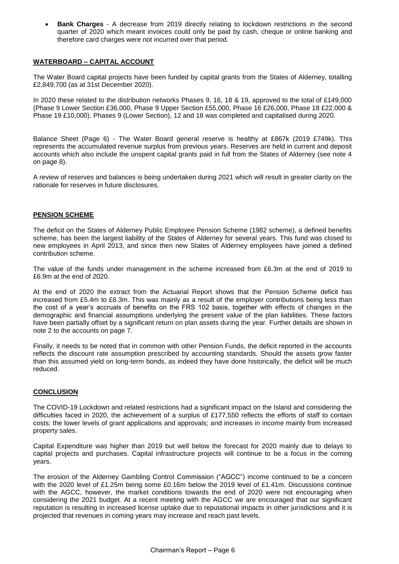**Bank Charges** - A decrease from 2019 directly relating to lockdown restrictions in the second quarter of 2020 which meant invoices could only be paid by cash, cheque or online banking and therefore card charges were not incurred over that period.

## **WATERBOARD – CAPITAL ACCOUNT**

The Water Board capital projects have been funded by capital grants from the States of Alderney, totalling £2,849,700 (as at 31st December 2020).

In 2020 these related to the distribution networks Phases 9, 16, 18 & 19, approved to the total of £149,000 (Phase 9 Lower Section £36,000, Phase 9 Upper Section £55,000, Phase 16 £26,000, Phase 18 £22,000 & Phase 19 £10,000). Phases 9 (Lower Section), 12 and 18 was completed and capitalised during 2020.

Balance Sheet (Page 6) - The Water Board general reserve is healthy at £867k (2019 £749k). This represents the accumulated revenue surplus from previous years. Reserves are held in current and deposit accounts which also include the unspent capital grants paid in full from the States of Alderney (see note 4 on page 8).

A review of reserves and balances is being undertaken during 2021 which will result in greater clarity on the rationale for reserves in future disclosures.

## **PENSION SCHEME**

The deficit on the States of Alderney Public Employee Pension Scheme (1982 scheme), a defined benefits scheme, has been the largest liability of the States of Alderney for several years. This fund was closed to new employees in April 2013, and since then new States of Alderney employees have joined a defined contribution scheme.

The value of the funds under management in the scheme increased from £6.3m at the end of 2019 to £6.9m at the end of 2020.

At the end of 2020 the extract from the Actuarial Report shows that the Pension Scheme deficit has increased from £5.4m to £6.3m. This was mainly as a result of the employer contributions being less than the cost of a year's accruals of benefits on the FRS 102 basis, together with effects of changes in the demographic and financial assumptions underlying the present value of the plan liabilities. These factors have been partially offset by a significant return on plan assets during the year. Further details are shown in note 2 to the accounts on page 7.

Finally, it needs to be noted that in common with other Pension Funds, the deficit reported in the accounts reflects the discount rate assumption prescribed by accounting standards. Should the assets grow faster than this assumed yield on long-term bonds, as indeed they have done historically, the deficit will be much reduced.

## **CONCLUSION**

The COVID-19 Lockdown and related restrictions had a significant impact on the Island and considering the difficulties faced in 2020, the achievement of a surplus of £177,550 reflects the efforts of staff to contain costs; the lower levels of grant applications and approvals; and increases in income mainly from increased property sales.

Capital Expenditure was higher than 2019 but well below the forecast for 2020 mainly due to delays to capital projects and purchases. Capital infrastructure projects will continue to be a focus in the coming years.

The erosion of the Alderney Gambling Control Commission ("AGCC") income continued to be a concern with the 2020 level of £1.25m being some £0.16m below the 2019 level of £1.41m. Discussions continue with the AGCC, however, the market conditions towards the end of 2020 were not encouraging when considering the 2021 budget. At a recent meeting with the AGCC we are encouraged that our significant reputation is resulting in increased license uptake due to reputational impacts in other jurisdictions and it is projected that revenues in coming years may increase and reach past levels.